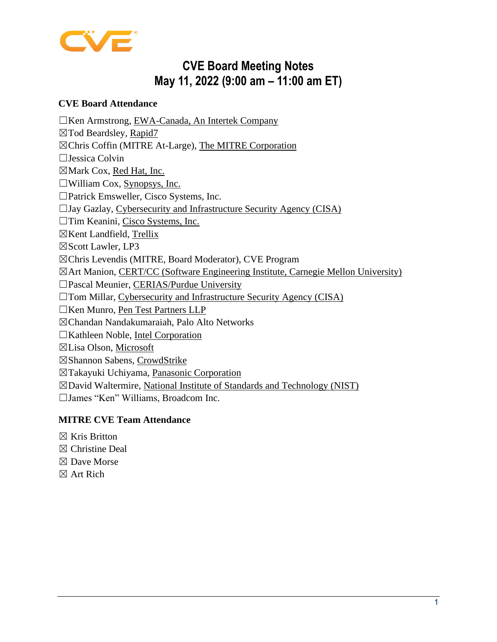

# **CVE Board Meeting Notes May 11, 2022 (9:00 am – 11:00 am ET)**

#### **CVE Board Attendance**

☐Ken Armstrong, [EWA-Canada, An Intertek Company](https://www.intertek.com/cybersecurity/ewa-canada/) ☒Tod Beardsley, [Rapid7](https://www.rapid7.com/) ☒Chris Coffin (MITRE At-Large), [The MITRE Corporation](https://www.mitre.org/) ☐Jessica Colvin ☒Mark Cox, [Red Hat, Inc.](https://www.redhat.com/) ☐William Cox, [Synopsys, Inc.](https://www.synopsys.com/) ☐Patrick Emsweller, [Cisco Systems, Inc.](https://www.cisco.com/)  $\Box$ Jay Gazlay, [Cybersecurity and Infrastructure Security Agency \(CISA\)](https://www.dhs.gov/cisa/cybersecurity-division/) ☐Tim Keanini, [Cisco Systems, Inc.](https://www.cisco.com/) ☒Kent Landfield, [Trellix](https://www.trellix.com/en-us/index.html) ☒Scott Lawler, [LP3](https://lp3.com/) ☒Chris Levendis (MITRE, Board Moderator), [CVE Program](https://cve.mitre.org/) ☒Art Manion, [CERT/CC \(Software Engineering Institute, Carnegie Mellon University\)](https://www.cert.org/) ☐Pascal Meunier, [CERIAS/Purdue University](https://www.cerias.purdue.edu/)  $\Box$ Tom Millar, [Cybersecurity and Infrastructure Security Agency \(CISA\)](https://www.dhs.gov/cisa/cybersecurity-division/) ☐Ken Munro, [Pen Test Partners LLP](https://www.pentestpartners.com/) ☒Chandan Nandakumaraiah, [Palo Alto Networks](https://www.paloaltonetworks.com/) ☐Kathleen Noble, [Intel Corporation](https://www.intel.com/) ☒Lisa Olson, [Microsoft](https://www.microsoft.com/) ☒Shannon Sabens, [CrowdStrike](https://www.crowdstrike.com/) ☒Takayuki Uchiyama, [Panasonic Corporation](https://www.panasonic.com/global/home.html) ☒David Waltermire, [National Institute of Standards and Technology \(NIST\)](https://www.nist.gov/index.html)

☐James "Ken" Williams, [Broadcom Inc.](https://www.broadcom.com/)

## **MITRE CVE Team Attendance**

- $\boxtimes$  Kris Britton
- ☒ Christine Deal
- ☒ Dave Morse
- ☒ Art Rich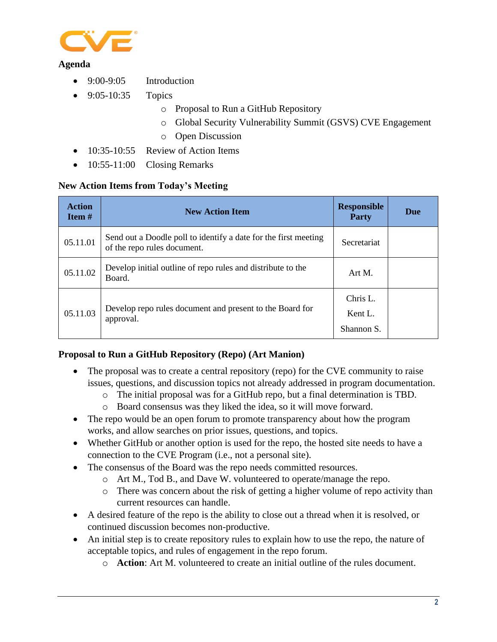

#### **Agenda**

- 9:00-9:05 Introduction
- 9:05-10:35 Topics
	- o Proposal to Run a GitHub Repository
	- o Global Security Vulnerability Summit (GSVS) CVE Engagement
	- o Open Discussion
- 10:35-10:55 Review of Action Items
- 10:55-11:00 Closing Remarks

#### **New Action Items from Today's Meeting**

| <b>Action</b><br>Item $#$ | <b>New Action Item</b>                                                                         | <b>Responsible</b><br>Party       | Due |
|---------------------------|------------------------------------------------------------------------------------------------|-----------------------------------|-----|
| 05.11.01                  | Send out a Doodle poll to identify a date for the first meeting<br>of the repo rules document. | Secretariat                       |     |
| 05.11.02                  | Develop initial outline of repo rules and distribute to the<br>Board.                          | Art M.                            |     |
| 05.11.03                  | Develop repo rules document and present to the Board for<br>approval.                          | Chris L.<br>Kent L.<br>Shannon S. |     |

#### **Proposal to Run a GitHub Repository (Repo) (Art Manion)**

- The proposal was to create a central repository (repo) for the CVE community to raise issues, questions, and discussion topics not already addressed in program documentation.
	- o The initial proposal was for a GitHub repo, but a final determination is TBD.
	- o Board consensus was they liked the idea, so it will move forward.
- The repo would be an open forum to promote transparency about how the program works, and allow searches on prior issues, questions, and topics.
- Whether GitHub or another option is used for the repo, the hosted site needs to have a connection to the CVE Program (i.e., not a personal site).
- The consensus of the Board was the repo needs committed resources.
	- o Art M., Tod B., and Dave W. volunteered to operate/manage the repo.
	- o There was concern about the risk of getting a higher volume of repo activity than current resources can handle.
- A desired feature of the repo is the ability to close out a thread when it is resolved, or continued discussion becomes non-productive.
- An initial step is to create repository rules to explain how to use the repo, the nature of acceptable topics, and rules of engagement in the repo forum.
	- o **Action**: Art M. volunteered to create an initial outline of the rules document.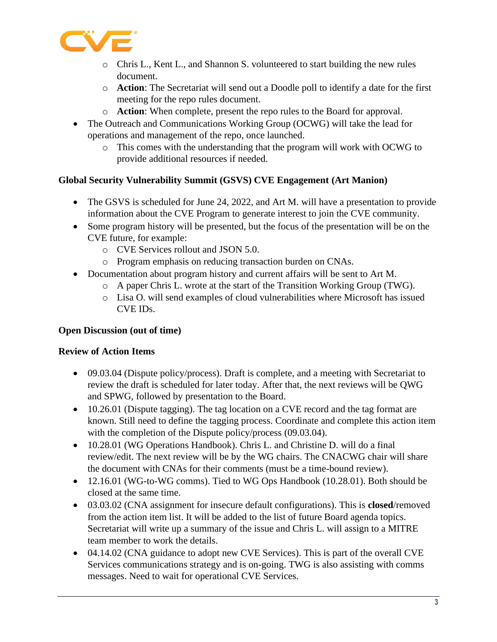

- o Chris L., Kent L., and Shannon S. volunteered to start building the new rules document.
- o **Action**: The Secretariat will send out a Doodle poll to identify a date for the first meeting for the repo rules document.
- o **Action**: When complete, present the repo rules to the Board for approval.
- The Outreach and Communications Working Group (OCWG) will take the lead for operations and management of the repo, once launched.
	- o This comes with the understanding that the program will work with OCWG to provide additional resources if needed.

## **Global Security Vulnerability Summit (GSVS) CVE Engagement (Art Manion)**

- The GSVS is scheduled for June 24, 2022, and Art M. will have a presentation to provide information about the CVE Program to generate interest to join the CVE community.
- Some program history will be presented, but the focus of the presentation will be on the CVE future, for example:
	- o CVE Services rollout and JSON 5.0.
	- o Program emphasis on reducing transaction burden on CNAs.
- Documentation about program history and current affairs will be sent to Art M.
	- o A paper Chris L. wrote at the start of the Transition Working Group (TWG).
	- o Lisa O. will send examples of cloud vulnerabilities where Microsoft has issued CVE IDs.

## **Open Discussion (out of time)**

## **Review of Action Items**

- 09.03.04 (Dispute policy/process). Draft is complete, and a meeting with Secretariat to review the draft is scheduled for later today. After that, the next reviews will be QWG and SPWG, followed by presentation to the Board.
- 10.26.01 (Dispute tagging). The tag location on a CVE record and the tag format are known. Still need to define the tagging process. Coordinate and complete this action item with the completion of the Dispute policy/process (09.03.04).
- 10.28.01 (WG Operations Handbook). Chris L. and Christine D. will do a final review/edit. The next review will be by the WG chairs. The CNACWG chair will share the document with CNAs for their comments (must be a time-bound review).
- 12.16.01 (WG-to-WG comms). Tied to WG Ops Handbook (10.28.01). Both should be closed at the same time.
- 03.03.02 (CNA assignment for insecure default configurations). This is **closed**/removed from the action item list. It will be added to the list of future Board agenda topics. Secretariat will write up a summary of the issue and Chris L. will assign to a MITRE team member to work the details.
- 04.14.02 (CNA guidance to adopt new CVE Services). This is part of the overall CVE Services communications strategy and is on-going. TWG is also assisting with comms messages. Need to wait for operational CVE Services.